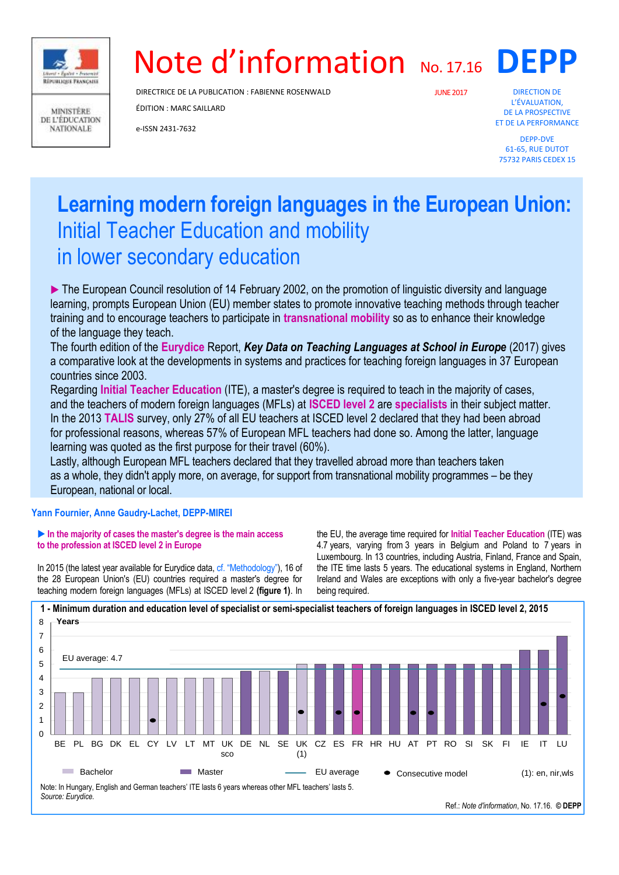

**MINISTÈRE** DE L'ÉDUCATION **NATIONALE** 

# Note d'information No. 17.16

DIRECTRICE DE LA PUBLICATION : FABIENNE ROSENWALD

ÉDITION : MARC SAILLARD

e-ISSN 2431-7632

JUNE2017

DIRECTION DE L'ÉVALUATION, DE LA PROSPECTIVE ET DE LA PERFORMANCE

**DEPP**

DEPP-DVE 61-65, RUE DUTOT 75732 PARIS CEDEX 15

## **Learning modern foreign languages in the European Union:** Initial Teacher Education and mobility in lower secondary education

The European Council resolution of 14 February 2002, on the promotion of linguistic diversity and language learning, prompts European Union (EU) member states to promote innovative teaching methods through teacher training and to encourage teachers to participate in **transnational mobility** so as to enhance their knowledge of the language they teach.

The fourth edition of the **Eurydice** Report, *Key Data on Teaching Languages at School in Europe* (2017) gives a comparative look at the developments in systems and practices for teaching foreign languages in 37 European countries since 2003.

Regarding **Initial Teacher Education** (ITE), a master's degree is required to teach in the majority of cases, and the teachers of modern foreign languages (MFLs) at **ISCED level 2** are **specialists** in their subject matter. In the 2013 **TALIS** survey, only 27% of all EU teachers at ISCED level 2 declared that they had been abroad for professional reasons, whereas 57% of European MFL teachers had done so. Among the latter, language learning was quoted as the first purpose for their travel (60%).

Lastly, although European MFL teachers declared that they travelled abroad more than teachers taken as a whole, they didn't apply more, on average, for support from transnational mobility programmes – be they European, national or local.

#### **Yann Fournier, Anne Gaudry-Lachet, DEPP-MIREI**

#### **In the majority of cases the master's degree is the main access to the profession at ISCED level 2 in Europe**

In 2015 (the latest year available for Eurydice data, cf. "Methodology"), 16 of the 28 European Union's (EU) countries required a master's degree for teaching modern foreign languages (MFLs) at ISCED level 2 **(figure 1)**. In the EU, the average time required for **Initial Teacher Education** (ITE) was 4.7 years, varying from 3 years in Belgium and Poland to 7 years in Luxembourg. In 13 countries, including Austria, Finland, France and Spain, the ITE time lasts 5 years. The educational systems in England, Northern Ireland and Wales are exceptions with only a five-year bachelor's degree being required.



Ref.: *Note d'information*, No. 17.16. **© DEPP**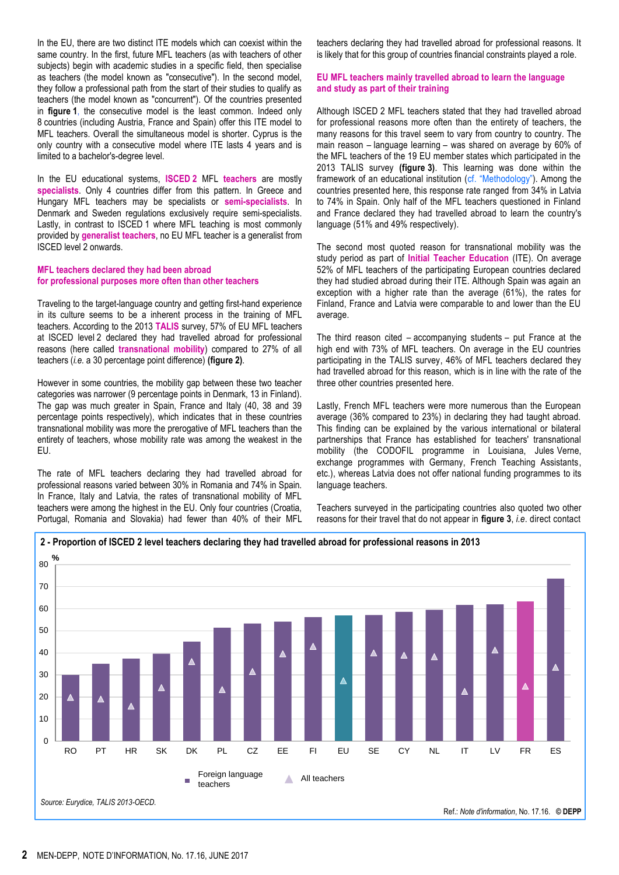In the EU, there are two distinct ITE models which can coexist within the same country. In the first, future MFL teachers (as with teachers of other subjects) begin with academic studies in a specific field, then specialise as teachers (the model known as "consecutive"). In the second model, they follow a professional path from the start of their studies to qualify as teachers (the model known as "concurrent"). Of the countries presented in **figure 1**, the consecutive model is the least common. Indeed only 8 countries (including Austria, France and Spain) offer this ITE model to MFL teachers. Overall the simultaneous model is shorter. Cyprus is the only country with a consecutive model where ITE lasts 4 years and is limited to a bachelor's-degree level.

In the EU educational systems, **ISCED 2** MFL **teachers** are mostly **specialists**. Only 4 countries differ from this pattern. In Greece and Hungary MFL teachers may be specialists or **semi-specialists**. In Denmark and Sweden regulations exclusively require semi-specialists. Lastly, in contrast to ISCED 1 where MFL teaching is most commonly provided by **generalist teachers**, no EU MFL teacher is a generalist from ISCED level 2 onwards.

#### **MFL teachers declared they had been abroad for professional purposes more often than other teachers**

Traveling to the target-language country and getting first-hand experience in its culture seems to be a inherent process in the training of MFL teachers. According to the 2013 **TALIS** survey, 57% of EU MFL teachers at ISCED level 2 declared they had travelled abroad for professional reasons (here called **transnational mobility**) compared to 27% of all teachers (*i.e.* a 30 percentage point difference) **(figure 2)**.

However in some countries, the mobility gap between these two teacher categories was narrower (9 percentage points in Denmark, 13 in Finland). The gap was much greater in Spain, France and Italy (40, 38 and 39 percentage points respectively), which indicates that in these countries transnational mobility was more the prerogative of MFL teachers than the entirety of teachers, whose mobility rate was among the weakest in the EU.

The rate of MFL teachers declaring they had travelled abroad for professional reasons varied between 30% in Romania and 74% in Spain. In France, Italy and Latvia, the rates of transnational mobility of MFL teachers were among the highest in the EU. Only four countries (Croatia, Portugal, Romania and Slovakia) had fewer than 40% of their MFL

teachers declaring they had travelled abroad for professional reasons. It is likely that for this group of countries financial constraints played a role.

#### **EU MFL teachers mainly travelled abroad to learn the language and study as part of their training**

Although ISCED 2 MFL teachers stated that they had travelled abroad for professional reasons more often than the entirety of teachers, the many reasons for this travel seem to vary from country to country. The main reason – language learning – was shared on average by 60% of the MFL teachers of the 19 EU member states which participated in the 2013 TALIS survey **(figure 3)**. This learning was done within the framework of an educational institution (cf. "Methodology"). Among the countries presented here, this response rate ranged from 34% in Latvia to 74% in Spain. Only half of the MFL teachers questioned in Finland and France declared they had travelled abroad to learn the country's language (51% and 49% respectively).

The second most quoted reason for transnational mobility was the study period as part of **Initial Teacher Education** (ITE). On average 52% of MFL teachers of the participating European countries declared they had studied abroad during their ITE. Although Spain was again an exception with a higher rate than the average (61%), the rates for Finland, France and Latvia were comparable to and lower than the EU average.

The third reason cited – accompanying students – put France at the high end with 73% of MFL teachers. On average in the EU countries participating in the TALIS survey, 46% of MFL teachers declared they had travelled abroad for this reason, which is in line with the rate of the three other countries presented here.

Lastly, French MFL teachers were more numerous than the European average (36% compared to 23%) in declaring they had taught abroad. This finding can be explained by the various international or bilateral partnerships that France has established for teachers' transnational mobility (the CODOFIL programme in Louisiana, Jules Verne, exchange programmes with Germany, French Teaching Assistants, etc.), whereas Latvia does not offer national funding programmes to its language teachers.

Teachers surveyed in the participating countries also quoted two other reasons for their travel that do not appear in **figure 3**, *i.e*. direct contact

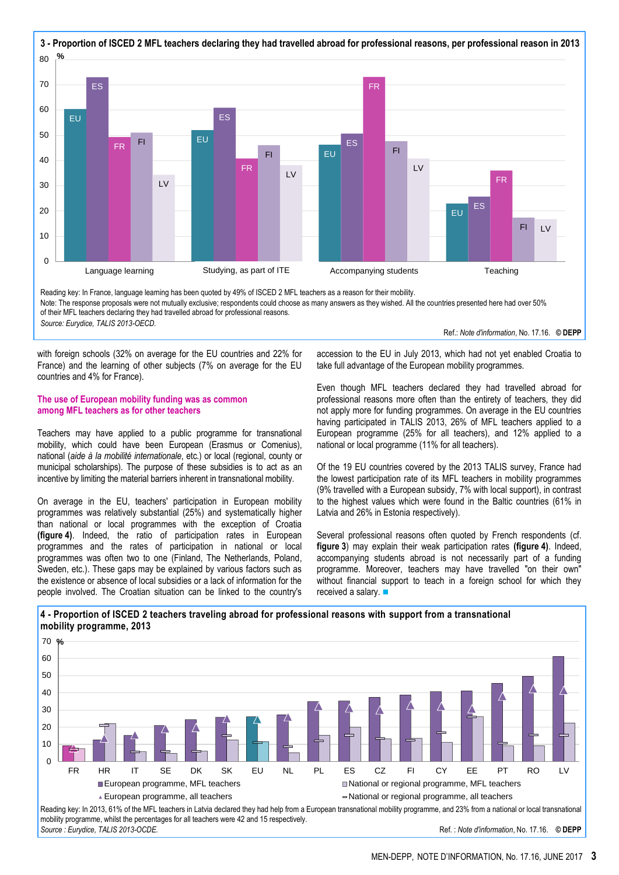

Reading key: In France, language learning has been quoted by 49% of ISCED 2 MFL teachers as a reason for their mobility. Note: The response proposals were not mutually exclusive; respondents could choose as many answers as they wished. All the countries presented here had over 50% of their MFL teachers declaring they had travelled abroad for professional reasons. *Source: Eurydice, TALIS 2013-OECD.* Ref.: *Note d'information*, No. 17.16.**© DEPP**

with foreign schools (32% on average for the EU countries and 22% for France) and the learning of other subjects (7% on average for the EU countries and 4% for France).

#### **The use of European mobility funding was as common among MFL teachers as for other teachers**

Teachers may have applied to a public programme for transnational mobility, which could have been European (Erasmus or Comenius), national (*aide à la mobilité internationale*, etc.) or local (regional, county or municipal scholarships). The purpose of these subsidies is to act as an incentive by limiting the material barriers inherent in transnational mobility.

On average in the EU, teachers' participation in European mobility programmes was relatively substantial (25%) and systematically higher than national or local programmes with the exception of Croatia **(figure 4)**. Indeed, the ratio of participation rates in European programmes and the rates of participation in national or local programmes was often two to one (Finland, The Netherlands, Poland, Sweden, etc.). These gaps may be explained by various factors such as the existence or absence of local subsidies or a lack of information for the people involved. The Croatian situation can be linked to the country's accession to the EU in July 2013, which had not yet enabled Croatia to take full advantage of the European mobility programmes.

Even though MFL teachers declared they had travelled abroad for professional reasons more often than the entirety of teachers, they did not apply more for funding programmes. On average in the EU countries having participated in TALIS 2013, 26% of MFL teachers applied to a European programme (25% for all teachers), and 12% applied to a national or local programme (11% for all teachers).

Of the 19 EU countries covered by the 2013 TALIS survey, France had the lowest participation rate of its MFL teachers in mobility programmes (9% travelled with a European subsidy, 7% with local support), in contrast to the highest values which were found in the Baltic countries (61% in Latvia and 26% in Estonia respectively).

Several professional reasons often quoted by French respondents (cf. **figure 3**) may explain their weak participation rates **(figure 4)**. Indeed, accompanying students abroad is not necessarily part of a funding programme. Moreover, teachers may have travelled "on their own" without financial support to teach in a foreign school for which they received a salary. ■





*Source : Eurydice, TALIS 2013-OCDE.* Ref. : *Note d'information*, No. 17.16.**© DEPP**